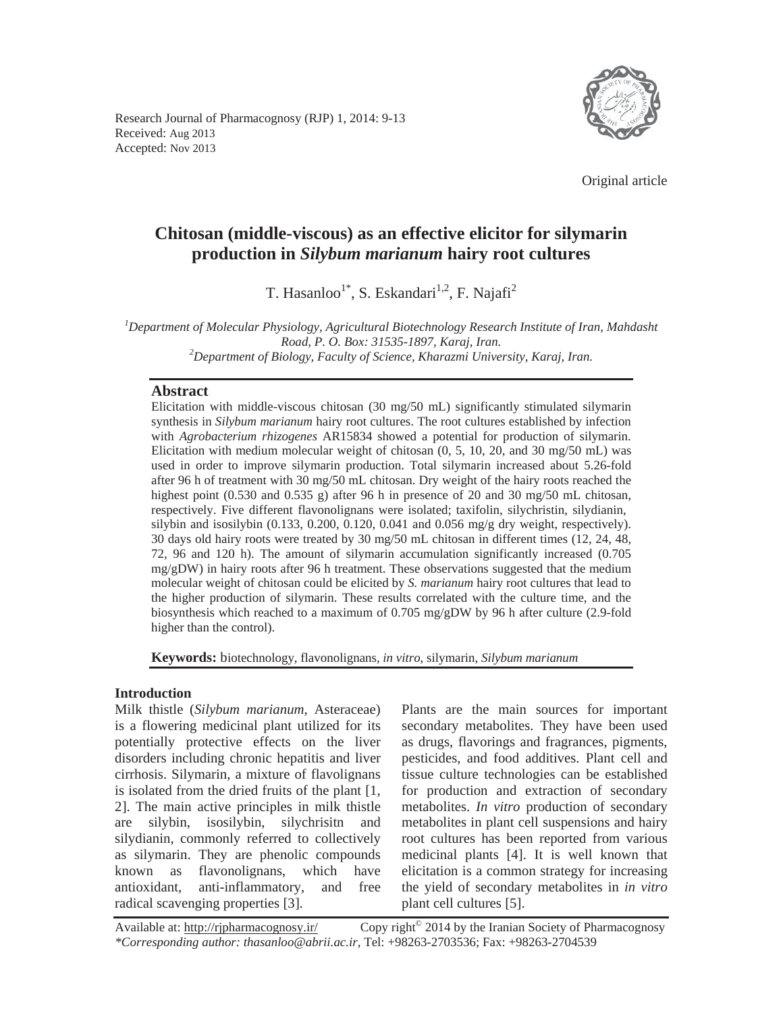Research Journal of Pharmacognosy (RJP) 1, 2014: 9-13 Received: Aug 2013 Accepted: Nov 2013



Original article

# **Chitosan (middle-viscous) as an effective elicitor for silymarin production in** *Silybum marianum* **hairy root cultures**

T. Hasanloo<sup>1\*</sup>, S. Eskandari<sup>1,2</sup>, F. Najafi<sup>2</sup>

*1 Department of Molecular Physiology, Agricultural Biotechnology Research Institute of Iran, Mahdasht Road, P. O. Box: 31535-1897, Karaj, Iran. 2 Department of Biology, Faculty of Science, Kharazmi University, Karaj, Iran.* 

# **Abstract**

Elicitation with middle-viscous chitosan (30 mg/50 mL) significantly stimulated silymarin synthesis in *Silybum marianum* hairy root cultures. The root cultures established by infection with *Agrobacterium rhizogenes* AR15834 showed a potential for production of silymarin. Elicitation with medium molecular weight of chitosan  $(0, 5, 10, 20, \text{ and } 30 \text{ mg}/50 \text{ mL})$  was used in order to improve silymarin production. Total silymarin increased about 5.26-fold after 96 h of treatment with 30 mg/50 mL chitosan. Dry weight of the hairy roots reached the highest point (0.530 and 0.535 g) after 96 h in presence of 20 and 30 mg/50 mL chitosan, respectively. Five different flavonolignans were isolated; taxifolin, silychristin, silydianin, silybin and isosilybin  $(0.133, 0.200, 0.120, 0.041$  and  $0.056$  mg/g dry weight, respectively). 30 days old hairy roots were treated by 30 mg/50 mL chitosan in different times (12, 24, 48, 72, 96 and 120 h). The amount of silymarin accumulation significantly increased (0.705 mg/gDW) in hairy roots after 96 h treatment. These observations suggested that the medium molecular weight of chitosan could be elicited by *S. marianum* hairy root cultures that lead to the higher production of silymarin. These results correlated with the culture time, and the biosynthesis which reached to a maximum of 0.705 mg/gDW by 96 h after culture (2.9-fold higher than the control).

**Keywords:** biotechnology, flavonolignans, *in vitro*, silymarin, *Silybum marianum*

## **Introduction**

Milk thistle (*Silybum marianum*, Asteraceae) is a flowering medicinal plant utilized for its potentially protective effects on the liver disorders including chronic hepatitis and liver cirrhosis. Silymarin, a mixture of flavolignans is isolated from the dried fruits of the plant [1, 2]. The main active principles in milk thistle are silybin, isosilybin, silychrisitn and silydianin, commonly referred to collectively as silymarin. They are phenolic compounds known as flavonolignans, which have antioxidant, anti-inflammatory, and free radical scavenging properties [3].

Plants are the main sources for important secondary metabolites. They have been used as drugs, flavorings and fragrances, pigments, pesticides, and food additives. Plant cell and tissue culture technologies can be established for production and extraction of secondary metabolites. *In vitro* production of secondary metabolites in plant cell suspensions and hairy root cultures has been reported from various medicinal plants [4]. It is well known that elicitation is a common strategy for increasing the yield of secondary metabolites in *in vitro*  plant cell cultures [5].

Available at: http://rjpharmacognosy.ir/ Copy right<sup>©</sup> 2014 by the Iranian Society of Pharmacognosy *\*Corresponding author: thasanloo@abrii.ac.ir,* Tel: +98263-2703536; Fax: +98263-2704539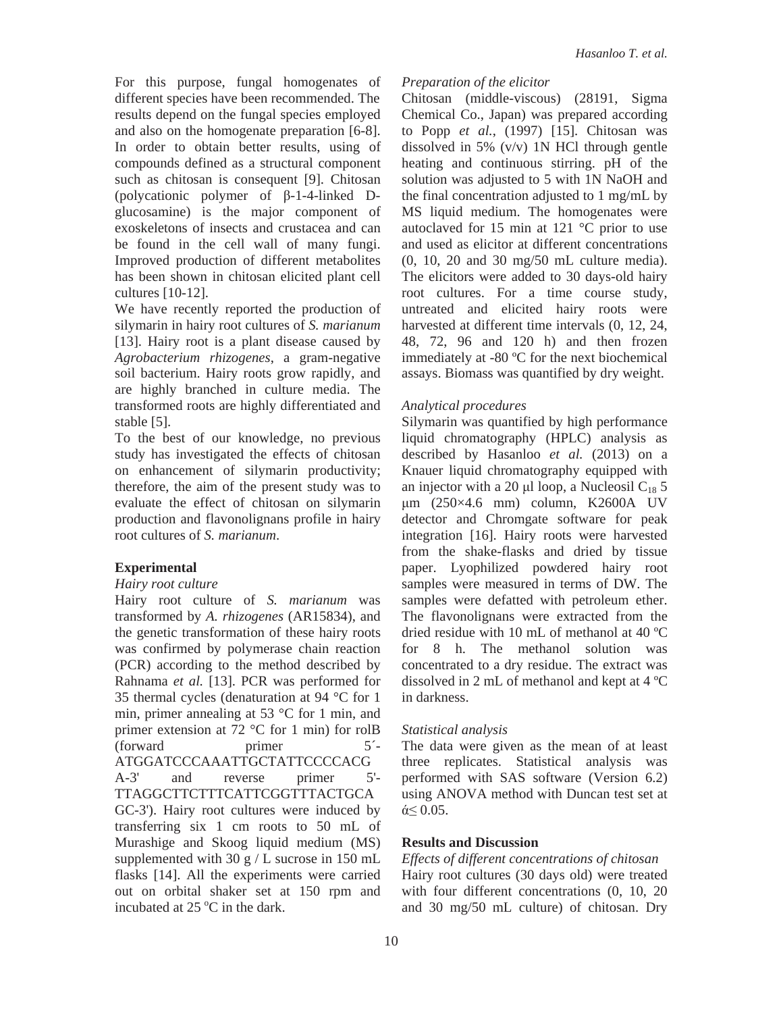For this purpose, fungal homogenates of different species have been recommended. The results depend on the fungal species employed and also on the homogenate preparation [6-8]. In order to obtain better results, using of compounds defined as a structural component such as chitosan is consequent [9]. Chitosan (polycationic polymer of  $\beta$ -1-4-linked Dglucosamine) is the major component of exoskeletons of insects and crustacea and can be found in the cell wall of many fungi. Improved production of different metabolites has been shown in chitosan elicited plant cell cultures [10-12].

We have recently reported the production of silymarin in hairy root cultures of *S. marianum* [13]. Hairy root is a plant disease caused by *Agrobacterium rhizogenes*, a gram-negative soil bacterium. Hairy roots grow rapidly, and are highly branched in culture media. The transformed roots are highly differentiated and stable [5].

To the best of our knowledge, no previous study has investigated the effects of chitosan on enhancement of silymarin productivity; therefore, the aim of the present study was to evaluate the effect of chitosan on silymarin production and flavonolignans profile in hairy root cultures of *S. marianum*.

## **Experimental**

## *Hairy root culture*

Hairy root culture of *S. marianum* was transformed by *A. rhizogenes* (AR15834), and the genetic transformation of these hairy roots was confirmed by polymerase chain reaction (PCR) according to the method described by Rahnama *et al.* [13]. PCR was performed for 35 thermal cycles (denaturation at 94 °C for 1 min, primer annealing at 53 °C for 1 min, and primer extension at 72 °C for 1 min) for rolB (forward primer 5´- ATGGATCCCAAATTGCTATTCCCCACG A-3' and reverse primer 5'- TTAGGCTTCTTTCATTCGGTTTACTGCA GC-3'). Hairy root cultures were induced by transferring six 1 cm roots to 50 mL of Murashige and Skoog liquid medium (MS) supplemented with 30 g  $/L$  sucrose in 150 mL flasks [14]. All the experiments were carried out on orbital shaker set at 150 rpm and incubated at  $25^{\circ}$ C in the dark.

## *Preparation of the elicitor*

Chitosan (middle-viscous) (28191, Sigma Chemical Co., Japan) was prepared according to Popp *et al.*, (1997) [15]. Chitosan was dissolved in 5% (v/v) 1N HCl through gentle heating and continuous stirring. pH of the solution was adjusted to 5 with 1N NaOH and the final concentration adjusted to 1 mg/mL by MS liquid medium. The homogenates were autoclaved for 15 min at 121 °C prior to use and used as elicitor at different concentrations (0, 10, 20 and 30 mg/50 mL culture media). The elicitors were added to 30 days-old hairy root cultures. For a time course study, untreated and elicited hairy roots were harvested at different time intervals (0, 12, 24, 48, 72, 96 and 120 h) and then frozen immediately at -80 ºC for the next biochemical assays. Biomass was quantified by dry weight.

## *Analytical procedures*

Silymarin was quantified by high performance liquid chromatography (HPLC) analysis as described by Hasanloo *et al.* (2013) on a Knauer liquid chromatography equipped with an injector with a 20 µl loop, a Nucleosil  $C_{18}$  5 ȝm (250×4.6 mm) column, K2600A UV detector and Chromgate software for peak integration [16]. Hairy roots were harvested from the shake-flasks and dried by tissue paper. Lyophilized powdered hairy root samples were measured in terms of DW. The samples were defatted with petroleum ether. The flavonolignans were extracted from the dried residue with 10 mL of methanol at 40 ºC for 8 h. The methanol solution was concentrated to a dry residue. The extract was dissolved in 2 mL of methanol and kept at 4 ºC in darkness.

## *Statistical analysis*

The data were given as the mean of at least three replicates. Statistical analysis was performed with SAS software (Version 6.2) using ANOVA method with Duncan test set at  $\acute{\alpha}$  0.05.

## **Results and Discussion**

*Effects of different concentrations of chitosan*  Hairy root cultures (30 days old) were treated with four different concentrations (0, 10, 20 and 30 mg/50 mL culture) of chitosan. Dry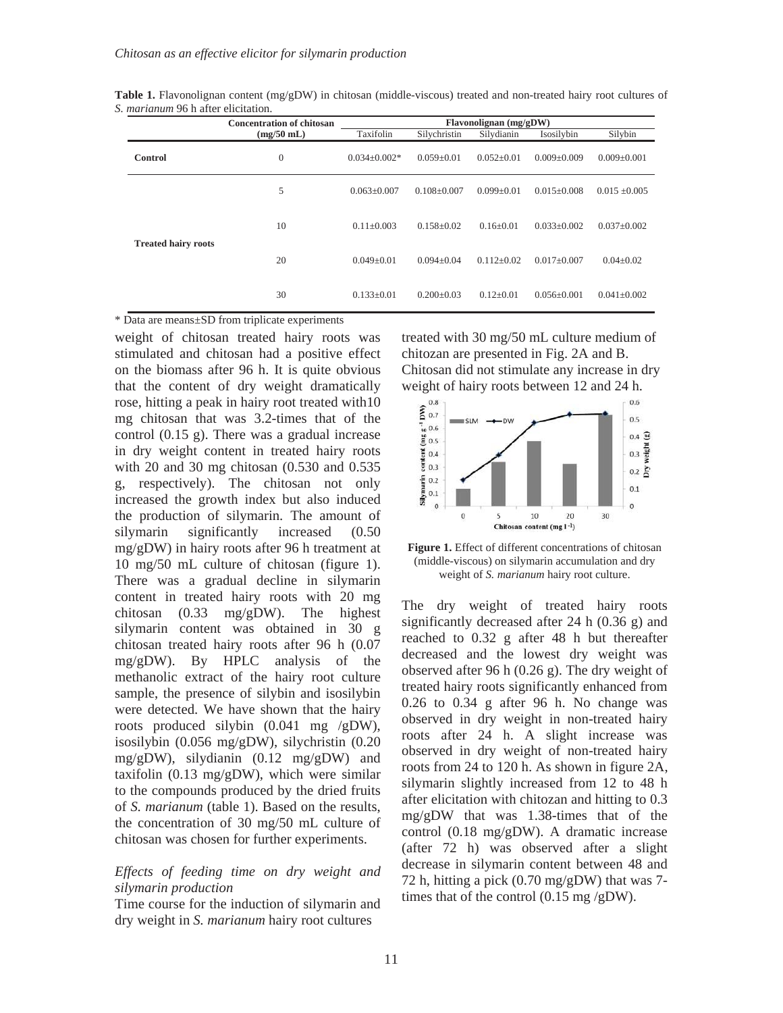|                            | <b>Concentration of chitosan</b><br>Flavonolignan (mg/gDW) |                    |                   |                  |                   |                   |
|----------------------------|------------------------------------------------------------|--------------------|-------------------|------------------|-------------------|-------------------|
|                            | $(mg/50$ mL)                                               | Taxifolin          | Silychristin      | Silydianin       | Isosilybin        | Silybin           |
| <b>Control</b>             | $\boldsymbol{0}$                                           | $0.034 \pm 0.002*$ | $0.059 \pm 0.01$  | $0.052 \pm 0.01$ | $0.009 \pm 0.009$ | $0.009 \pm 0.001$ |
| <b>Treated hairy roots</b> | 5                                                          | $0.063 \pm 0.007$  | $0.108 \pm 0.007$ | $0.099 + 0.01$   | $0.015 + 0.008$   | $0.015 \pm 0.005$ |
|                            | 10                                                         | $0.11 + 0.003$     | $0.158 + 0.02$    | $0.16 + 0.01$    | $0.033+0.002$     | $0.037+0.002$     |
|                            | 20                                                         | $0.049 + 0.01$     | $0.094 + 0.04$    | $0.112 + 0.02$   | $0.017 + 0.007$   | $0.04 + 0.02$     |
|                            | 30                                                         | $0.133 \pm 0.01$   | $0.200 \pm 0.03$  | $0.12 \pm 0.01$  | $0.056 \pm 0.001$ | $0.041 \pm 0.002$ |

**Table 1.** Flavonolignan content (mg/gDW) in chitosan (middle-viscous) treated and non-treated hairy root cultures of *S. marianum* 96 h after elicitation.

\* Data are means±SD from triplicate experiments

weight of chitosan treated hairy roots was stimulated and chitosan had a positive effect on the biomass after 96 h. It is quite obvious that the content of dry weight dramatically rose, hitting a peak in hairy root treated with10 mg chitosan that was 3.2-times that of the control (0.15 g). There was a gradual increase in dry weight content in treated hairy roots with 20 and 30 mg chitosan (0.530 and 0.535 g, respectively). The chitosan not only increased the growth index but also induced the production of silymarin. The amount of silymarin significantly increased (0.50 mg/gDW) in hairy roots after 96 h treatment at 10 mg/50 mL culture of chitosan (figure 1). There was a gradual decline in silymarin content in treated hairy roots with 20 mg chitosan (0.33 mg/gDW). The highest silymarin content was obtained in 30 g chitosan treated hairy roots after 96 h (0.07 mg/gDW). By HPLC analysis of the methanolic extract of the hairy root culture sample, the presence of silybin and isosilybin were detected. We have shown that the hairy roots produced silybin (0.041 mg /gDW), isosilybin (0.056 mg/gDW), silychristin (0.20 mg/gDW), silydianin (0.12 mg/gDW) and taxifolin (0.13 mg/gDW), which were similar to the compounds produced by the dried fruits of *S. marianum* (table 1). Based on the results, the concentration of 30 mg/50 mL culture of chitosan was chosen for further experiments.

## *Effects of feeding time on dry weight and silymarin production*

Time course for the induction of silymarin and dry weight in *S. marianum* hairy root cultures

treated with 30 mg/50 mL culture medium of chitozan are presented in Fig. 2A and B. Chitosan did not stimulate any increase in dry



**Figure 1.** Effect of different concentrations of chitosan (middle-viscous) on silymarin accumulation and dry weight of *S. marianum* hairy root culture.

The dry weight of treated hairy roots significantly decreased after 24 h (0.36 g) and reached to 0.32 g after 48 h but thereafter decreased and the lowest dry weight was observed after 96 h (0.26 g). The dry weight of treated hairy roots significantly enhanced from 0.26 to 0.34 g after 96 h. No change was observed in dry weight in non-treated hairy roots after 24 h. A slight increase was observed in dry weight of non-treated hairy roots from 24 to 120 h. As shown in figure 2A, silymarin slightly increased from 12 to 48 h after elicitation with chitozan and hitting to 0.3 mg/gDW that was 1.38-times that of the control (0.18 mg/gDW). A dramatic increase (after 72 h) was observed after a slight decrease in silymarin content between 48 and 72 h, hitting a pick (0.70 mg/gDW) that was 7 times that of the control  $(0.15 \text{ mg/gDW})$ .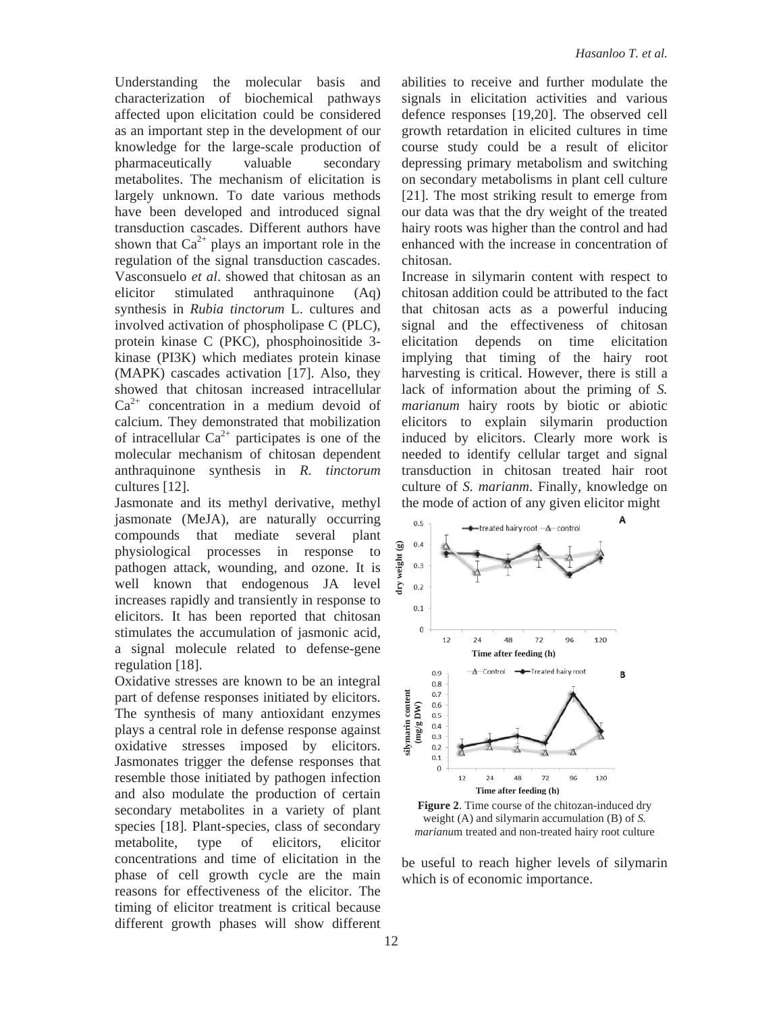Understanding the molecular basis and characterization of biochemical pathways affected upon elicitation could be considered as an important step in the development of our knowledge for the large-scale production of pharmaceutically valuable secondary metabolites. The mechanism of elicitation is largely unknown. To date various methods have been developed and introduced signal transduction cascades. Different authors have shown that  $Ca^{2+}$  plays an important role in the regulation of the signal transduction cascades. Vasconsuelo *et al*. showed that chitosan as an elicitor stimulated anthraquinone (Aq) synthesis in *Rubia tinctorum* L. cultures and involved activation of phospholipase C (PLC), protein kinase C (PKC), phosphoinositide 3 kinase (PI3K) which mediates protein kinase (MAPK) cascades activation [17]. Also, they showed that chitosan increased intracellular  $Ca^{2+}$  concentration in a medium devoid of calcium. They demonstrated that mobilization of intracellular  $Ca^{2+}$  participates is one of the molecular mechanism of chitosan dependent anthraquinone synthesis in *R. tinctorum* cultures [12].

Jasmonate and its methyl derivative, methyl jasmonate (MeJA), are naturally occurring compounds that mediate several plant physiological processes in response to pathogen attack, wounding, and ozone. It is well known that endogenous JA level increases rapidly and transiently in response to elicitors. It has been reported that chitosan stimulates the accumulation of jasmonic acid, a signal molecule related to defense-gene regulation [18].

Oxidative stresses are known to be an integral part of defense responses initiated by elicitors. The synthesis of many antioxidant enzymes plays a central role in defense response against oxidative stresses imposed by elicitors. Jasmonates trigger the defense responses that resemble those initiated by pathogen infection and also modulate the production of certain secondary metabolites in a variety of plant species [18]. Plant-species, class of secondary metabolite, type of elicitors, elicitor concentrations and time of elicitation in the phase of cell growth cycle are the main reasons for effectiveness of the elicitor. The timing of elicitor treatment is critical because different growth phases will show different abilities to receive and further modulate the signals in elicitation activities and various defence responses [19,20]. The observed cell growth retardation in elicited cultures in time course study could be a result of elicitor depressing primary metabolism and switching on secondary metabolisms in plant cell culture [21]. The most striking result to emerge from our data was that the dry weight of the treated hairy roots was higher than the control and had enhanced with the increase in concentration of chitosan.

Increase in silymarin content with respect to chitosan addition could be attributed to the fact that chitosan acts as a powerful inducing signal and the effectiveness of chitosan elicitation depends on time elicitation implying that timing of the hairy root harvesting is critical. However, there is still a lack of information about the priming of *S. marianum* hairy roots by biotic or abiotic elicitors to explain silymarin production induced by elicitors. Clearly more work is needed to identify cellular target and signal transduction in chitosan treated hair root culture of *S. marianm*. Finally, knowledge on the mode of action of any given elicitor might



**Figure 2**. Time course of the chitozan-induced dry weight (A) and silymarin accumulation (B) of *S. marianu*m treated and non-treated hairy root culture

be useful to reach higher levels of silymarin which is of economic importance.